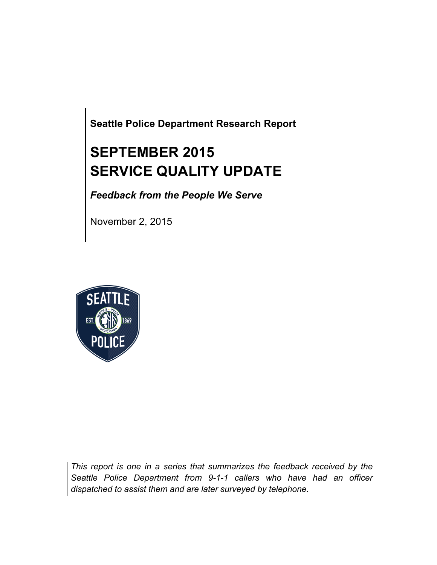**Seattle Police Department Research Report**

# **SEPTEMBER 2015 SERVICE QUALITY UPDATE**

*Feedback from the People We Serve*

November 2, 2015



*This report is one in a series that summarizes the feedback received by the Seattle Police Department from 9-1-1 callers who have had an officer dispatched to assist them and are later surveyed by telephone.*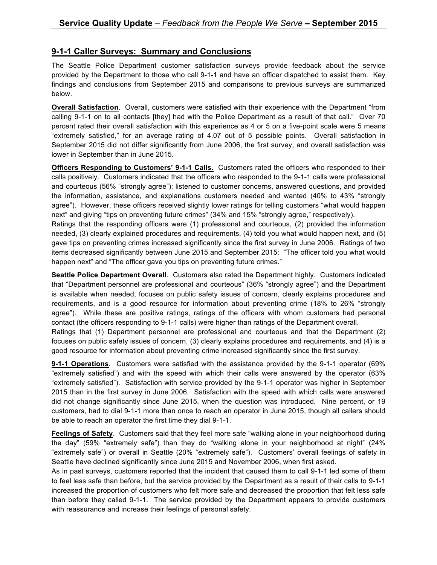### **9-1-1 Caller Surveys: Summary and Conclusions**

The Seattle Police Department customer satisfaction surveys provide feedback about the service provided by the Department to those who call 9-1-1 and have an officer dispatched to assist them. Key findings and conclusions from September 2015 and comparisons to previous surveys are summarized below.

**Overall Satisfaction**. Overall, customers were satisfied with their experience with the Department "from calling 9-1-1 on to all contacts [they] had with the Police Department as a result of that call." Over 70 percent rated their overall satisfaction with this experience as 4 or 5 on a five-point scale were 5 means "extremely satisfied," for an average rating of 4.07 out of 5 possible points. Overall satisfaction in September 2015 did not differ significantly from June 2006, the first survey, and overall satisfaction was lower in September than in June 2015.

**Officers Responding to Customers' 9-1-1 Calls.** Customers rated the officers who responded to their calls positively. Customers indicated that the officers who responded to the 9-1-1 calls were professional and courteous (56% "strongly agree"); listened to customer concerns, answered questions, and provided the information, assistance, and explanations customers needed and wanted (40% to 43% "strongly agree"). However, these officers received slightly lower ratings for telling customers "what would happen next" and giving "tips on preventing future crimes" (34% and 15% "strongly agree," respectively).

Ratings that the responding officers were (1) professional and courteous, (2) provided the information needed, (3) clearly explained procedures and requirements, (4) told you what would happen next, and (5) gave tips on preventing crimes increased significantly since the first survey in June 2006. Ratings of two items decreased significantly between June 2015 and September 2015: "The officer told you what would happen next" and "The officer gave you tips on preventing future crimes."

**Seattle Police Department Overall**. Customers also rated the Department highly. Customers indicated that "Department personnel are professional and courteous" (36% "strongly agree") and the Department is available when needed, focuses on public safety issues of concern, clearly explains procedures and requirements, and is a good resource for information about preventing crime (18% to 26% "strongly agree"). While these are positive ratings, ratings of the officers with whom customers had personal contact (the officers responding to 9-1-1 calls) were higher than ratings of the Department overall.

Ratings that (1) Department personnel are professional and courteous and that the Department (2) focuses on public safety issues of concern, (3) clearly explains procedures and requirements, and (4) is a good resource for information about preventing crime increased significantly since the first survey.

**9-1-1 Operations**. Customers were satisfied with the assistance provided by the 9-1-1 operator (69% "extremely satisfied") and with the speed with which their calls were answered by the operator (63% "extremely satisfied"). Satisfaction with service provided by the 9-1-1 operator was higher in September 2015 than in the first survey in June 2006. Satisfaction with the speed with which calls were answered did not change significantly since June 2015, when the question was introduced. Nine percent, or 19 customers, had to dial 9-1-1 more than once to reach an operator in June 2015, though all callers should be able to reach an operator the first time they dial 9-1-1.

**Feelings of Safety**. Customers said that they feel more safe "walking alone in your neighborhood during the day" (59% "extremely safe") than they do "walking alone in your neighborhood at night" (24% "extremely safe") or overall in Seattle (20% "extremely safe"). Customers' overall feelings of safety in Seattle have declined significantly since June 2015 and November 2006, when first asked.

As in past surveys, customers reported that the incident that caused them to call 9-1-1 led some of them to feel less safe than before, but the service provided by the Department as a result of their calls to 9-1-1 increased the proportion of customers who felt more safe and decreased the proportion that felt less safe than before they called 9-1-1. The service provided by the Department appears to provide customers with reassurance and increase their feelings of personal safety.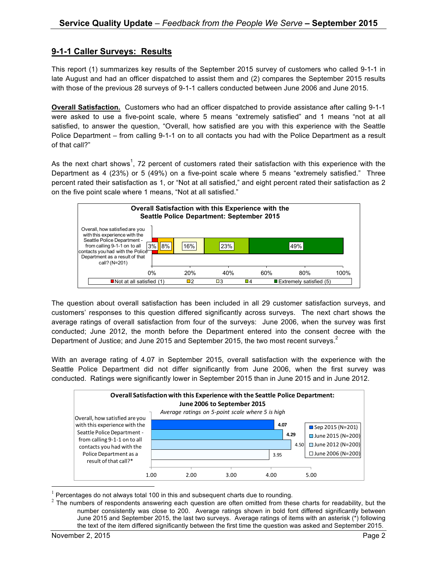## **9-1-1 Caller Surveys: Results**

This report (1) summarizes key results of the September 2015 survey of customers who called 9-1-1 in late August and had an officer dispatched to assist them and (2) compares the September 2015 results with those of the previous 28 surveys of 9-1-1 callers conducted between June 2006 and June 2015.

**Overall Satisfaction.** Customers who had an officer dispatched to provide assistance after calling 9-1-1 were asked to use a five-point scale, where 5 means "extremely satisfied" and 1 means "not at all satisfied, to answer the question, "Overall, how satisfied are you with this experience with the Seattle Police Department – from calling 9-1-1 on to all contacts you had with the Police Department as a result of that call?"

As the next chart shows<sup>1</sup>, 72 percent of customers rated their satisfaction with this experience with the Department as 4 (23%) or 5 (49%) on a five-point scale where 5 means "extremely satisfied." Three percent rated their satisfaction as 1, or "Not at all satisfied," and eight percent rated their satisfaction as 2 on the five point scale where 1 means, "Not at all satisfied."



The question about overall satisfaction has been included in all 29 customer satisfaction surveys, and customers' responses to this question differed significantly across surveys. The next chart shows the average ratings of overall satisfaction from four of the surveys: June 2006, when the survey was first conducted; June 2012, the month before the Department entered into the consent decree with the Department of Justice; and June 2015 and September 2015, the two most recent surveys. $^2$ 

With an average rating of 4.07 in September 2015, overall satisfaction with the experience with the Seattle Police Department did not differ significantly from June 2006, when the first survey was conducted. Ratings were significantly lower in September 2015 than in June 2015 and in June 2012.



 $1$  Percentages do not always total 100 in this and subsequent charts due to rounding.

 $2$  The numbers of respondents answering each question are often omitted from these charts for readability, but the number consistently was close to 200. Average ratings shown in bold font differed significantly between June 2015 and September 2015, the last two surveys. Average ratings of items with an asterisk (\*) following the text of the item differed significantly between the first time the question was asked and September 2015.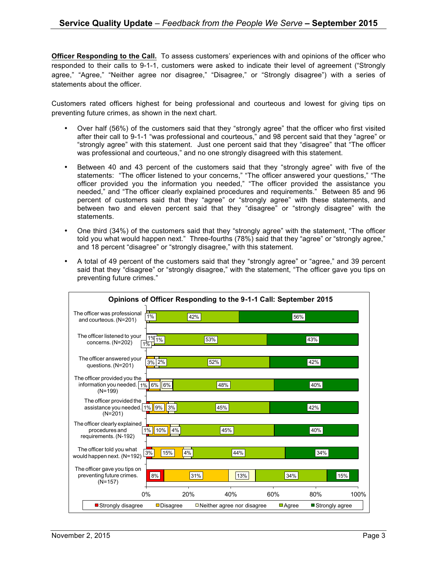**Officer Responding to the Call.** To assess customers' experiences with and opinions of the officer who responded to their calls to 9-1-1, customers were asked to indicate their level of agreement ("Strongly agree," "Agree," "Neither agree nor disagree," "Disagree," or "Strongly disagree") with a series of statements about the officer.

Customers rated officers highest for being professional and courteous and lowest for giving tips on preventing future crimes, as shown in the next chart.

- Over half (56%) of the customers said that they "strongly agree" that the officer who first visited after their call to 9-1-1 "was professional and courteous," and 98 percent said that they "agree" or "strongly agree" with this statement. Just one percent said that they "disagree" that "The officer was professional and courteous," and no one strongly disagreed with this statement.
- Between 40 and 43 percent of the customers said that they "strongly agree" with five of the statements: "The officer listened to your concerns," "The officer answered your questions," "The officer provided you the information you needed," "The officer provided the assistance you needed," and "The officer clearly explained procedures and requirements." Between 85 and 96 percent of customers said that they "agree" or "strongly agree" with these statements, and between two and eleven percent said that they "disagree" or "strongly disagree" with the statements.
- One third (34%) of the customers said that they "strongly agree" with the statement, "The officer told you what would happen next." Three-fourths (78%) said that they "agree" or "strongly agree," and 18 percent "disagree" or "strongly disagree," with this statement.
- A total of 49 percent of the customers said that they "strongly agree" or "agree," and 39 percent said that they "disagree" or "strongly disagree," with the statement, "The officer gave you tips on preventing future crimes."

| Opinions of Officer Responding to the 9-1-1 Call: September 2015            |                                |                                   |                      |                  |      |
|-----------------------------------------------------------------------------|--------------------------------|-----------------------------------|----------------------|------------------|------|
| The officer was professional<br>and courteous. (N=201)                      | $1\%$                          | 42%                               |                      | 56%              |      |
| The officer listened to your<br>concerns. (N=202)                           | 1%<br>$1\%$<br>$1\overline{6}$ | 53%                               |                      | 43%              |      |
| The officer answered your<br>questions. (N=201)                             | $3\%$ 2%                       | 52%                               |                      | 42%              |      |
| The officer provided you the<br>information you needed.   1%  <br>$(N=199)$ | 6%<br>6%                       | 48%                               |                      | 40%              |      |
| The officer provided the<br>assistance you needed. 1%   9%<br>$(N=201)$     | 3%                             | 45%                               |                      | 42%              |      |
| The officer clearly explained<br>procedures and<br>requirements. (N-192)    | 10%<br>$1\%$<br>4%             | 45%                               |                      | 40%              |      |
| The officer told you what<br>would happen next. (N=192)                     | 15%<br>3%                      | 4%<br>44%                         |                      | 34%              |      |
| The officer gave you tips on<br>preventing future crimes.<br>$(N=157)$      | 8%                             | 31%                               | 13%                  | 34%              | 15%  |
|                                                                             | 0%                             | 20%<br>40%                        | 60%                  | 80%              | 100% |
| ■ Strongly disagree                                                         | <b>□</b> Disagree              | $\Box$ Neither agree nor disagree | $\blacksquare$ Agree | ■ Strongly agree |      |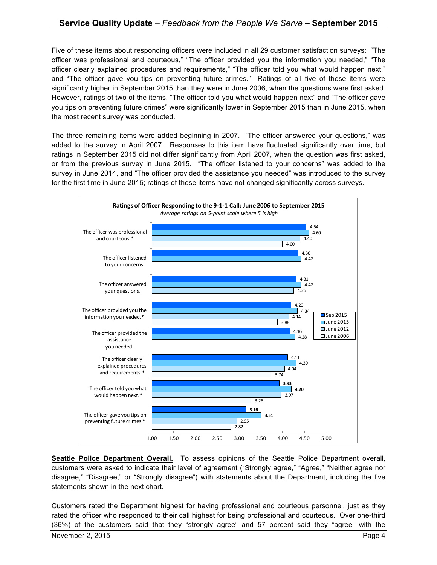Five of these items about responding officers were included in all 29 customer satisfaction surveys: "The officer was professional and courteous," "The officer provided you the information you needed," "The officer clearly explained procedures and requirements," "The officer told you what would happen next," and "The officer gave you tips on preventing future crimes." Ratings of all five of these items were significantly higher in September 2015 than they were in June 2006, when the questions were first asked. However, ratings of two of the items, "The officer told you what would happen next" and "The officer gave you tips on preventing future crimes" were significantly lower in September 2015 than in June 2015, when the most recent survey was conducted.

The three remaining items were added beginning in 2007. "The officer answered your questions," was added to the survey in April 2007. Responses to this item have fluctuated significantly over time, but ratings in September 2015 did not differ significantly from April 2007, when the question was first asked, or from the previous survey in June 2015. "The officer listened to your concerns" was added to the survey in June 2014, and "The officer provided the assistance you needed" was introduced to the survey for the first time in June 2015; ratings of these items have not changed significantly across surveys.



**Seattle Police Department Overall.** To assess opinions of the Seattle Police Department overall, customers were asked to indicate their level of agreement ("Strongly agree," "Agree," "Neither agree nor disagree," "Disagree," or "Strongly disagree") with statements about the Department, including the five statements shown in the next chart.

Customers rated the Department highest for having professional and courteous personnel, just as they rated the officer who responded to their call highest for being professional and courteous. Over one-third (36%) of the customers said that they "strongly agree" and 57 percent said they "agree" with the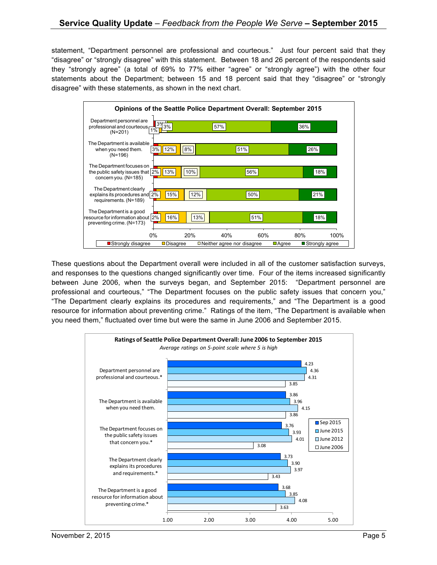statement, "Department personnel are professional and courteous." Just four percent said that they "disagree" or "strongly disagree" with this statement. Between 18 and 26 percent of the respondents said they "strongly agree" (a total of 69% to 77% either "agree" or "strongly agree") with the other four statements about the Department; between 15 and 18 percent said that they "disagree" or "strongly disagree" with these statements, as shown in the next chart.



These questions about the Department overall were included in all of the customer satisfaction surveys, and responses to the questions changed significantly over time. Four of the items increased significantly between June 2006, when the surveys began, and September 2015: "Department personnel are professional and courteous," "The Department focuses on the public safety issues that concern you," "The Department clearly explains its procedures and requirements," and "The Department is a good resource for information about preventing crime." Ratings of the item, "The Department is available when you need them," fluctuated over time but were the same in June 2006 and September 2015.

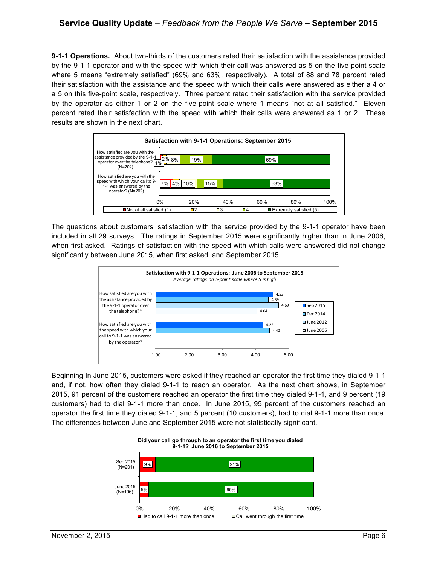**9-1-1 Operations.** About two-thirds of the customers rated their satisfaction with the assistance provided by the 9-1-1 operator and with the speed with which their call was answered as 5 on the five-point scale where 5 means "extremely satisfied" (69% and 63%, respectively). A total of 88 and 78 percent rated their satisfaction with the assistance and the speed with which their calls were answered as either a 4 or a 5 on this five-point scale, respectively. Three percent rated their satisfaction with the service provided by the operator as either 1 or 2 on the five-point scale where 1 means "not at all satisfied." Eleven percent rated their satisfaction with the speed with which their calls were answered as 1 or 2. These results are shown in the next chart.



The questions about customers' satisfaction with the service provided by the 9-1-1 operator have been included in all 29 surveys. The ratings in September 2015 were significantly higher than in June 2006, when first asked. Ratings of satisfaction with the speed with which calls were answered did not change significantly between June 2015, when first asked, and September 2015.



Beginning In June 2015, customers were asked if they reached an operator the first time they dialed 9-1-1 and, if not, how often they dialed 9-1-1 to reach an operator. As the next chart shows, in September 2015, 91 percent of the customers reached an operator the first time they dialed 9-1-1, and 9 percent (19 customers) had to dial 9-1-1 more than once. In June 2015, 95 percent of the customers reached an operator the first time they dialed 9-1-1, and 5 percent (10 customers), had to dial 9-1-1 more than once. The differences between June and September 2015 were not statistically significant.

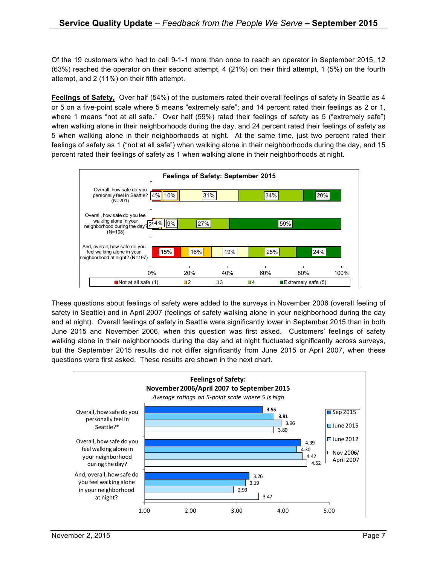Of the 19 customers who had to call 9-1-1 more than once to reach an operator in September 2015, 12 (63%) reached the operator on their second attempt, 4 (21%) on their third attempt, 1 (5%) on the fourth attempt, and 2 (11%) on their fifth attempt.

**Feelings of Safety,** Over half (54%) of the customers rated their overall feelings of safety in Seattle as 4 or 5 on a five-point scale where 5 means "extremely safe"; and 14 percent rated their feelings as 2 or 1, where 1 means "not at all safe." Over half (59%) rated their feelings of safety as 5 ("extremely safe") when walking alone in their neighborhoods during the day, and 24 percent rated their feelings of safety as 5 when walking alone in their neighborhoods at night. At the same time, just two percent rated their feelings of safety as 1 ("not at all safe") when walking alone in their neighborhoods during the day, and 15 percent rated their feelings of safety as 1 when walking alone in their neighborhoods at night.



These questions about feelings of safety were added to the surveys in November 2006 (overall feeling of safety in Seattle) and in April 2007 (feelings of safety walking alone in your neighborhood during the day and at night). Overall feelings of safety in Seattle were significantly lower in September 2015 than in both June 2015 and November 2006, when this question was first asked. Customers' feelings of safety walking alone in their neighborhoods during the day and at night fluctuated significantly across surveys, but the September 2015 results did not differ significantly from June 2015 or April 2007, when these questions were first asked. These results are shown in the next chart.

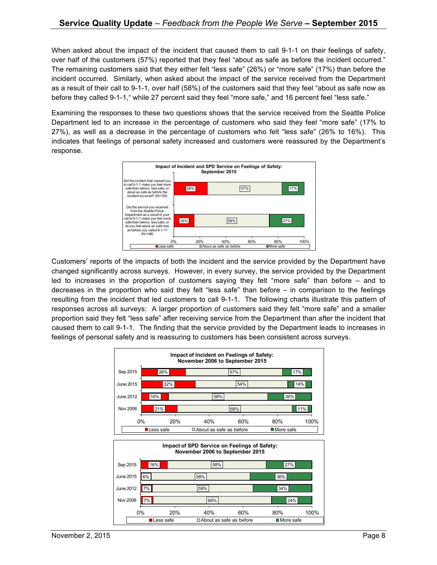When asked about the impact of the incident that caused them to call 9-1-1 on their feelings of safety, over half of the customers (57%) reported that they feel "about as safe as before the incident occurred." The remaining customers said that they either felt "less safe" (26%) or "more safe" (17%) than before the incident occurred. Similarly, when asked about the impact of the service received from the Department as a result of their call to 9-1-1, over half (58%) of the customers said that they feel "about as safe now as before they called 9-1-1," while 27 percent said they feel "more safe," and 16 percent feel "less safe."

Examining the responses to these two questions shows that the service received from the Seattle Police Department led to an increase in the percentage of customers who said they feel "more safe" (17% to 27%), as well as a decrease in the percentage of customers who felt "less safe" (26% to 16%). This indicates that feelings of personal safety increased and customers were reassured by the Department's response.



Customers' reports of the impacts of both the incident and the service provided by the Department have changed significantly across surveys. However, in every survey, the service provided by the Department led to increases in the proportion of customers saying they felt "more safe" than before – and to decreases in the proportion who said they felt "less safe" than before – in comparison to the feelings resulting from the incident that led customers to call 9-1-1. The following charts illustrate this pattern of responses across all surveys: A larger proportion of customers said they felt "more safe" and a smaller proportion said they felt "less safe" after receiving service from the Department than after the incident that caused them to call 9-1-1. The finding that the service provided by the Department leads to increases in feelings of personal safety and is reassuring to customers has been consistent across surveys.